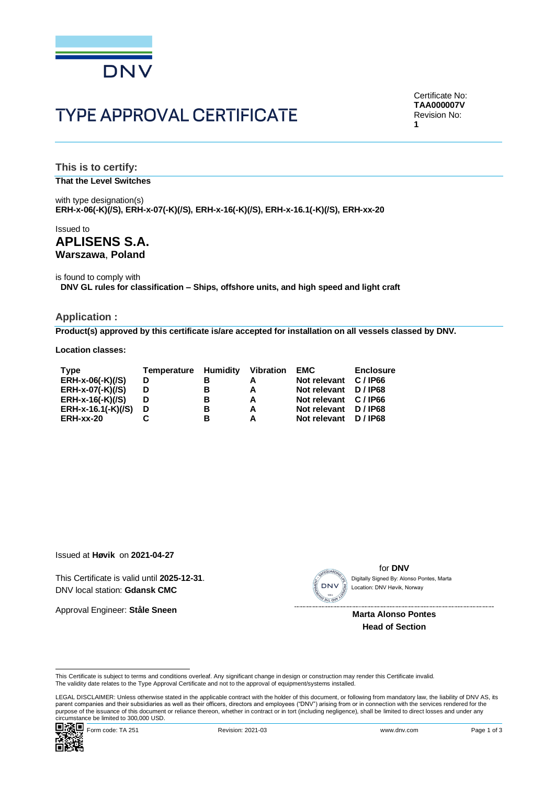

# **TYPE APPROVAL CERTIFICATE**

Certificate No: **TAA000007V** Revision No: **1**

**This is to certify: That the Level Switches**

with type designation(s) **ERH-x-06(-K)(/S), ERH-x-07(-K)(/S), ERH-x-16(-K)(/S), ERH-x-16.1(-K)(/S), ERH-xx-20**

# Issued to **APLISENS S.A. Warszawa**, **Poland**

is found to comply with **DNV GL rules for classification – Ships, offshore units, and high speed and light craft**

#### **Application :**

**Product(s) approved by this certificate is/are accepted for installation on all vessels classed by DNV.**

**Location classes:**

| Type               | <b>Temperature Humidity</b> |   | <b>Vibration</b> | <b>EMC</b>            | <b>Enclosure</b> |
|--------------------|-----------------------------|---|------------------|-----------------------|------------------|
| ERH-x-06(-K)(/S)   | D                           |   |                  | Not relevant C / IP66 |                  |
| ERH-x-07(-K)(/S)   | D                           | в |                  | Not relevant D/IP68   |                  |
| $ERH-x-16(-K)/(S)$ | D                           | в |                  | Not relevant C / IP66 |                  |
| ERH-x-16.1(-K)(/S) | D                           | в |                  | Not relevant D/IP68   |                  |
| ERH-xx-20          |                             |   |                  | Not relevant          | D / IP68         |

Issued at **Høvik** on **2021-04-27**

This Certificate is valid until **2025-12-31**. DNV local station: **Gdansk CMC**

Approval Engineer: **Ståle Sneen**



for **DNV** Location: DNV Høvik, Norway

 **Marta Alonso Pontes Head of Section**

This Certificate is subject to terms and conditions overleaf. Any significant change in design or construction may render this Certificate invalid.<br>The validity date relates to the Type Approval Certificate and not to the

LEGAL DISCLAIMER: Unless otherwise stated in the applicable contract with the holder of this document, or following from mandatory law, the liability of DNV AS, its<br>parent companies and their subsidiaries as well as their purpose of the issuance of this document or reliance thereon, whether in contract or in tort (including negligence), shall be limited to direct losses and under any purpose of the issuance of this document or reliance ther This Certificate is valid until 2025-12-31.<br>
DNV local station: G**dansk CMC**<br>
Approval Engineer: Ståle Sneen<br>
Marta Alonso Pontes<br>
Head of Section<br>
This Certificate is subject to terms and conditions overleaf. Any signific

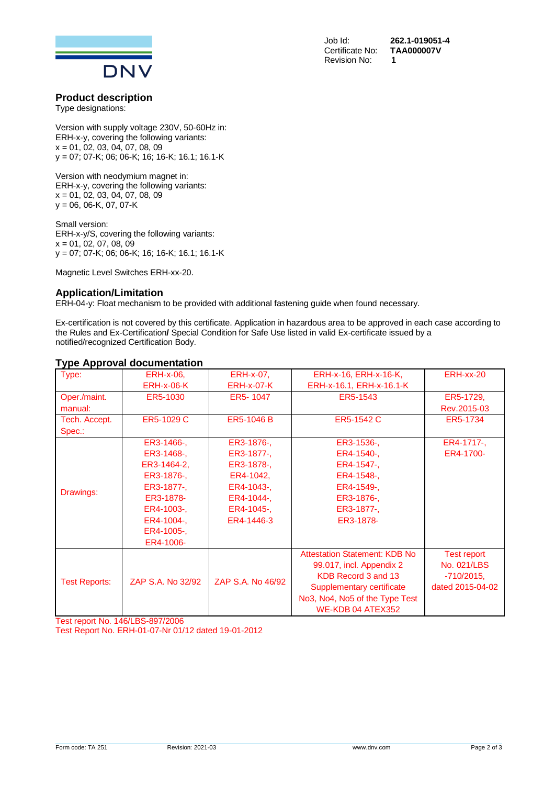

**Certificate No:** Revision No: **1**

Job Id: **262.1-019051-4**

# **Product description**

Type designations:

Version with supply voltage 230V, 50-60Hz in: ERH-x-y, covering the following variants: x = 01, 02, 03, 04, 07, 08, 09 y = 07; 07-K; 06; 06-K; 16; 16-K; 16.1; 16.1-K

Version with neodymium magnet in: ERH-x-y, covering the following variants:  $x = 01, 02, 03, 04, 07, 08, 09$ y = 06, 06-K, 07, 07-K

Small version: ERH-x-y/S, covering the following variants:  $x = 01, 02, 07, 08, 09$ y = 07; 07-K; 06; 06-K; 16; 16-K; 16.1; 16.1-K

Magnetic Level Switches ERH-xx-20.

#### **Application/Limitation**

ERH-04-y: Float mechanism to be provided with additional fastening guide when found necessary.

Ex-certification is not covered by this certificate. Application in hazardous area to be approved in each case according to the Rules and Ex-Certification**/** Special Condition for Safe Use listed in valid Ex-certificate issued by a notified/recognized Certification Body.

# **Type Approval documentation**

| Type:                | <b>ERH-x-06,</b>  | <b>ERH-x-07.</b>  | ERH-x-16, ERH-x-16-K,                | ERH-xx-20          |
|----------------------|-------------------|-------------------|--------------------------------------|--------------------|
|                      | <b>ERH-x-06-K</b> | <b>ERH-x-07-K</b> | ERH-x-16.1, ERH-x-16.1-K             |                    |
| Oper./maint.         | ER5-1030          | ER5-1047          | ER5-1543                             | ER5-1729.          |
| manual:              |                   |                   |                                      | Rev.2015-03        |
| Tech. Accept.        | ER5-1029 C        | ER5-1046 B        | ER5-1542 C                           | ER5-1734           |
| Spec.:               |                   |                   |                                      |                    |
|                      | ER3-1466-,        | ER3-1876-,        | ER3-1536-,                           | ER4-1717-.         |
|                      | ER3-1468-,        | ER3-1877-,        | ER4-1540-,                           | ER4-1700-          |
|                      | ER3-1464-2.       | ER3-1878-,        | ER4-1547-,                           |                    |
| Drawings:            | ER3-1876-,        | ER4-1042,         | ER4-1548-,                           |                    |
|                      | ER3-1877-,        | ER4-1043-.        | ER4-1549-.                           |                    |
|                      | ER3-1878-         | ER4-1044-,        | ER3-1876-,                           |                    |
|                      | ER4-1003-,        | ER4-1045-,        | ER3-1877-,                           |                    |
|                      | ER4-1004-,        | ER4-1446-3        | ER3-1878-                            |                    |
|                      | ER4-1005-,        |                   |                                      |                    |
|                      | ER4-1006-         |                   |                                      |                    |
|                      |                   |                   | <b>Attestation Statement: KDB No</b> | <b>Test report</b> |
| <b>Test Reports:</b> |                   | ZAP S.A. No 46/92 | 99.017, incl. Appendix 2             | No. 021/LBS        |
|                      | ZAP S.A. No 32/92 |                   | KDB Record 3 and 13                  | $-710/2015$ ,      |
|                      |                   |                   | Supplementary certificate            | dated 2015-04-02   |
|                      |                   |                   | No3, No4, No5 of the Type Test       |                    |
|                      |                   |                   | WE-KDB 04 ATEX352                    |                    |

Test report No. 146/LBS-897/2006 Test Report No. ERH-01-07-Nr 01/12 dated 19-01-2012